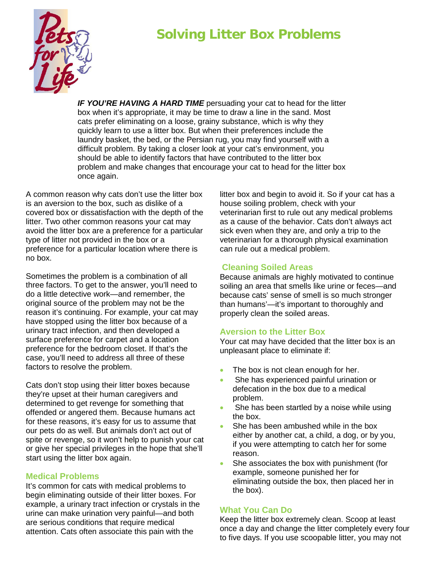# **Solving Litter Box Problems**



**IF YOU'RE HAVING A HARD TIME** persuading your cat to head for the litter box when it's appropriate, it may be time to draw a line in the sand. Most cats prefer eliminating on a loose, grainy substance, which is why they quickly learn to use a litter box. But when their preferences include the laundry basket, the bed, or the Persian rug, you may find yourself with a difficult problem. By taking a closer look at your cat's environment, you should be able to identify factors that have contributed to the litter box problem and make changes that encourage your cat to head for the litter box once again.

A common reason why cats don't use the litter box is an aversion to the box, such as dislike of a covered box or dissatisfaction with the depth of the litter. Two other common reasons your cat may avoid the litter box are a preference for a particular type of litter not provided in the box or a preference for a particular location where there is no box.

Sometimes the problem is a combination of all three factors. To get to the answer, you'll need to do a little detective work—and remember, the original source of the problem may not be the reason it's continuing. For example, your cat may have stopped using the litter box because of a urinary tract infection, and then developed a surface preference for carpet and a location preference for the bedroom closet. If that's the case, you'll need to address all three of these factors to resolve the problem.

Cats don't stop using their litter boxes because they're upset at their human caregivers and determined to get revenge for something that offended or angered them. Because humans act for these reasons, it's easy for us to assume that our pets do as well. But animals don't act out of spite or revenge, so it won't help to punish your cat or give her special privileges in the hope that she'll start using the litter box again.

## **Medical Problems**

It's common for cats with medical problems to begin eliminating outside of their litter boxes. For example, a urinary tract infection or crystals in the urine can make urination very painful—and both are serious conditions that require medical attention. Cats often associate this pain with the

litter box and begin to avoid it. So if your cat has a house soiling problem, check with your veterinarian first to rule out any medical problems as a cause of the behavior. Cats don't always act sick even when they are, and only a trip to the veterinarian for a thorough physical examination can rule out a medical problem.

## **Cleaning Soiled Areas**

Because animals are highly motivated to continue soiling an area that smells like urine or feces—and because cats' sense of smell is so much stronger than humans'—it's important to thoroughly and properly clean the soiled areas.

## **Aversion to the Litter Box**

Your cat may have decided that the litter box is an unpleasant place to eliminate if:

- The box is not clean enough for her.
- She has experienced painful urination or defecation in the box due to a medical problem.
- She has been startled by a noise while using the box.
- She has been ambushed while in the box either by another cat, a child, a dog, or by you, if you were attempting to catch her for some reason.
- She associates the box with punishment (for example, someone punished her for eliminating outside the box, then placed her in the box).

## **What You Can Do**

Keep the litter box extremely clean. Scoop at least once a day and change the litter completely every four to five days. If you use scoopable litter, you may not